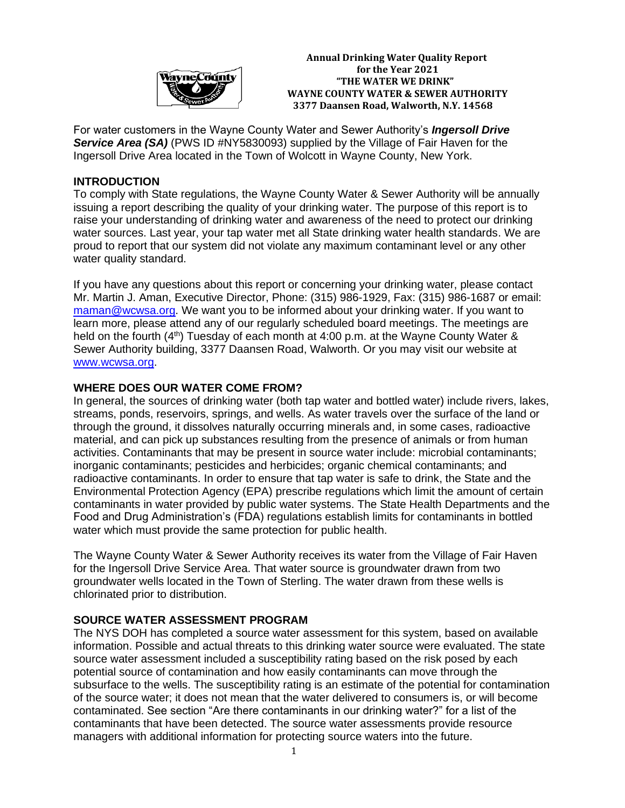

 **Annual Drinking Water Quality Report For the Year 2021 "THE WATER WE DRINK" WAYNE COUNTY WATER & SEWER AUTHORITY 3377 Daansen Road, Walworth, N.Y. 14568**

For water customers in the Wayne County Water and Sewer Authority's *Ingersoll Drive* **Service Area (SA)** (PWS ID #NY5830093) supplied by the Village of Fair Haven for the Ingersoll Drive Area located in the Town of Wolcott in Wayne County, New York.

### **INTRODUCTION**

To comply with State regulations, the Wayne County Water & Sewer Authority will be annually issuing a report describing the quality of your drinking water. The purpose of this report is to raise your understanding of drinking water and awareness of the need to protect our drinking water sources. Last year, your tap water met all State drinking water health standards. We are proud to report that our system did not violate any maximum contaminant level or any other water quality standard.

If you have any questions about this report or concerning your drinking water, please contact Mr. Martin J. Aman, Executive Director, Phone: (315) 986-1929, Fax: (315) 986-1687 or email: [maman@wcwsa.org.](mailto:maman@wcwsa.org) We want you to be informed about your drinking water. If you want to learn more, please attend any of our regularly scheduled board meetings. The meetings are held on the fourth  $(4<sup>th</sup>)$  Tuesday of each month at 4:00 p.m. at the Wayne County Water & Sewer Authority building, 3377 Daansen Road, Walworth. Or you may visit our website at [www.wcwsa.org.](http://www.wcwsa.org/)

### **WHERE DOES OUR WATER COME FROM?**

In general, the sources of drinking water (both tap water and bottled water) include rivers, lakes, streams, ponds, reservoirs, springs, and wells. As water travels over the surface of the land or through the ground, it dissolves naturally occurring minerals and, in some cases, radioactive material, and can pick up substances resulting from the presence of animals or from human activities. Contaminants that may be present in source water include: microbial contaminants; inorganic contaminants; pesticides and herbicides; organic chemical contaminants; and radioactive contaminants. In order to ensure that tap water is safe to drink, the State and the Environmental Protection Agency (EPA) prescribe regulations which limit the amount of certain contaminants in water provided by public water systems. The State Health Departments and the Food and Drug Administration's (FDA) regulations establish limits for contaminants in bottled water which must provide the same protection for public health.

The Wayne County Water & Sewer Authority receives its water from the Village of Fair Haven for the Ingersoll Drive Service Area. That water source is groundwater drawn from two groundwater wells located in the Town of Sterling. The water drawn from these wells is chlorinated prior to distribution.

# **SOURCE WATER ASSESSMENT PROGRAM**

The NYS DOH has completed a source water assessment for this system, based on available information. Possible and actual threats to this drinking water source were evaluated. The state source water assessment included a susceptibility rating based on the risk posed by each potential source of contamination and how easily contaminants can move through the subsurface to the wells. The susceptibility rating is an estimate of the potential for contamination of the source water; it does not mean that the water delivered to consumers is, or will become contaminated. See section "Are there contaminants in our drinking water?" for a list of the contaminants that have been detected. The source water assessments provide resource managers with additional information for protecting source waters into the future.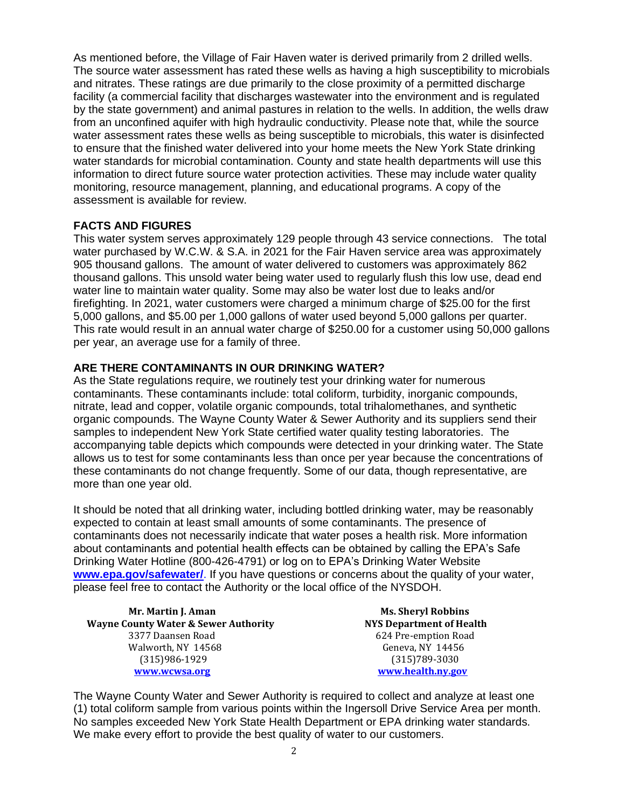As mentioned before, the Village of Fair Haven water is derived primarily from 2 drilled wells. The source water assessment has rated these wells as having a high susceptibility to microbials and nitrates. These ratings are due primarily to the close proximity of a permitted discharge facility (a commercial facility that discharges wastewater into the environment and is regulated by the state government) and animal pastures in relation to the wells. In addition, the wells draw from an unconfined aquifer with high hydraulic conductivity. Please note that, while the source water assessment rates these wells as being susceptible to microbials, this water is disinfected to ensure that the finished water delivered into your home meets the New York State drinking water standards for microbial contamination. County and state health departments will use this information to direct future source water protection activities. These may include water quality monitoring, resource management, planning, and educational programs. A copy of the assessment is available for review.

### **FACTS AND FIGURES**

This water system serves approximately 129 people through 43 service connections. The total water purchased by W.C.W. & S.A. in 2021 for the Fair Haven service area was approximately 905 thousand gallons. The amount of water delivered to customers was approximately 862 thousand gallons. This unsold water being water used to regularly flush this low use, dead end water line to maintain water quality. Some may also be water lost due to leaks and/or firefighting. In 2021, water customers were charged a minimum charge of \$25.00 for the first 5,000 gallons, and \$5.00 per 1,000 gallons of water used beyond 5,000 gallons per quarter. This rate would result in an annual water charge of \$250.00 for a customer using 50,000 gallons per year, an average use for a family of three.

### **ARE THERE CONTAMINANTS IN OUR DRINKING WATER?**

As the State regulations require, we routinely test your drinking water for numerous contaminants. These contaminants include: total coliform, turbidity, inorganic compounds, nitrate, lead and copper, volatile organic compounds, total trihalomethanes, and synthetic organic compounds. The Wayne County Water & Sewer Authority and its suppliers send their samples to independent New York State certified water quality testing laboratories. The accompanying table depicts which compounds were detected in your drinking water. The State allows us to test for some contaminants less than once per year because the concentrations of these contaminants do not change frequently. Some of our data, though representative, are more than one year old.

It should be noted that all drinking water, including bottled drinking water, may be reasonably expected to contain at least small amounts of some contaminants. The presence of contaminants does not necessarily indicate that water poses a health risk. More information about contaminants and potential health effects can be obtained by calling the EPA's Safe Drinking Water Hotline (800-426-4791) or log on to EPA's Drinking Water Website **[www.epa.gov/safewater/](http://www.epa.gov/safewater/)**. If you have questions or concerns about the quality of your water, please feel free to contact the Authority or the local office of the NYSDOH.

**Mr. Martin J. Aman Ms. Sheryl Robbins Wayne County Water & Sewer Authority NYS Department of Health** 3377 Daansen Road 624 Pre-emption Road Walworth, NY 14568 Geneva, NY 14456 (315)986-1929 (315)789-3030 **[www.wcwsa.o](http://www.wcwsa/)rg [www.health.ny.gov](http://www.health.ny.gov/)**

The Wayne County Water and Sewer Authority is required to collect and analyze at least one (1) total coliform sample from various points within the Ingersoll Drive Service Area per month. No samples exceeded New York State Health Department or EPA drinking water standards. We make every effort to provide the best quality of water to our customers.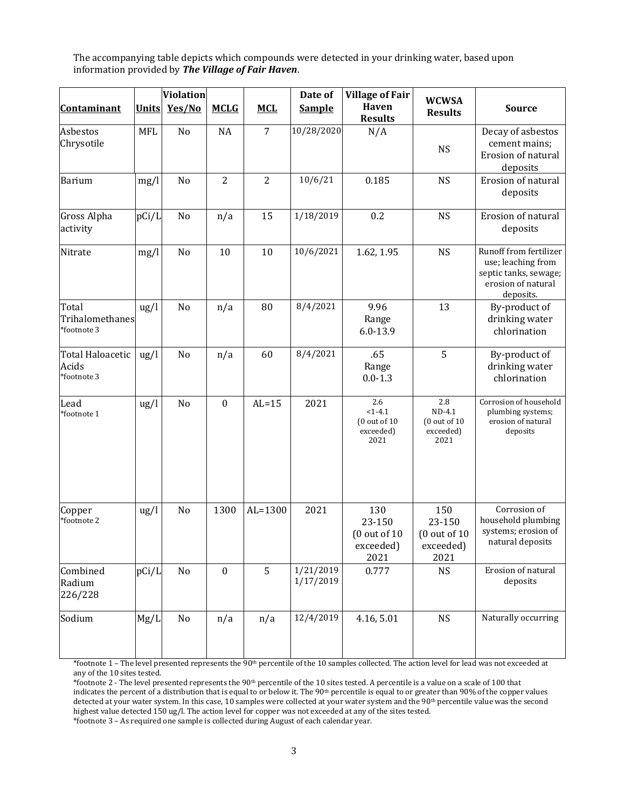The accompanying table depicts which compounds were detected in your drinking water, based upon information provided by *The Village of Fair Haven*.

|                                          | <b>Violation</b> |        |                  |                | Date of                | <b>Village of Fair</b>                                |                                                       |                                                                                                          |
|------------------------------------------|------------------|--------|------------------|----------------|------------------------|-------------------------------------------------------|-------------------------------------------------------|----------------------------------------------------------------------------------------------------------|
| <b>Contaminant</b>                       | <b>Units</b>     | Yes/No | <b>MCLG</b>      | <b>MCL</b>     | <b>Sample</b>          | Haven<br><b>Results</b>                               | <b>WCWSA</b><br><b>Results</b>                        | <b>Source</b>                                                                                            |
| Asbestos<br>Chrysotile                   | <b>MFL</b>       | No     | <b>NA</b>        | 7              | 10/28/2020             | N/A                                                   | <b>NS</b>                                             | Decay of asbestos<br>cement mains;<br>Erosion of natural<br>deposits                                     |
| <b>Barium</b>                            | mg/l             | No     | $\overline{2}$   | $\overline{2}$ | 10/6/21                | 0.185                                                 | <b>NS</b>                                             | Erosion of natural<br>deposits                                                                           |
| <b>Gross Alpha</b><br>activity           | pCi/L            | No     | n/a              | 15             | 1/18/2019              | 0.2                                                   | <b>NS</b>                                             | Erosion of natural<br>deposits                                                                           |
| Nitrate                                  | mg/l             | No     | 10               | 10             | 10/6/2021              | 1.62, 1.95                                            | <b>NS</b>                                             | Runoff from fertilizer<br>use; leaching from<br>septic tanks, sewage;<br>erosion of natural<br>deposits. |
| Total<br>Trihalomethanes<br>*footnote 3  | $\frac{u}{g}$    | No     | n/a              | 80             | 8/4/2021               | 9.96<br>Range<br>$6.0 - 13.9$                         | 13                                                    | By-product of<br>drinking water<br>chlorination                                                          |
| Total Haloacetic<br>Acids<br>*footnote 3 | $\frac{u}{g}$    | No     | n/a              | 60             | 8/4/2021               | .65<br>Range<br>$0.0 - 1.3$                           | 5                                                     | By-product of<br>drinking water<br>chlorination                                                          |
| Lead<br>*footnote 1                      | ug/l             | No     | $\boldsymbol{0}$ | $AL=15$        | 2021                   | 2.6<br>$<1-4.1$<br>(0 out of 10)<br>exceeded)<br>2021 | 2.8<br>$ND-4.1$<br>(0 out of 10)<br>exceeded)<br>2021 | Corrosion of household<br>plumbing systems;<br>erosion of natural<br>deposits                            |
| Copper<br>*footnote 2                    | $\frac{u}{g}$    | No     | 1300             | $AL=1300$      | 2021                   | 130<br>23-150<br>(0 out of 10)<br>exceeded)<br>2021   | 150<br>23-150<br>(0 out of 10)<br>exceeded)<br>2021   | Corrosion of<br>household plumbing<br>systems; erosion of<br>natural deposits                            |
| Combined<br>Radium<br>226/228            | pCi/L            | No     | $\boldsymbol{0}$ | 5              | 1/21/2019<br>1/17/2019 | 0.777                                                 | <b>NS</b>                                             | Erosion of natural<br>deposits                                                                           |
| Sodium                                   | Mg/L             | No     | n/a              | n/a            | 12/4/2019              | 4.16, 5.01                                            | <b>NS</b>                                             | Naturally occurring                                                                                      |

\*footnote 1 – The level presented represents the 90th percentile of the 10 samples collected. The action level for lead was not exceeded at any of the 10 sites tested.

\*footnote 2 - The level presented represents the 90th percentile of the 10 sites tested. A percentile is a value on a scale of 100 that indicates the percent of a distribution that is equal to or below it. The 90<sup>th</sup> percentile is equal to or greater than 90% of the copper values detected at your water system. In this case, 10 samples were collected at your water system and the 90<sup>th</sup> percentile value was the second highest value detected 150 ug/l. The action level for copper was not exceeded at any of the sites tested.

\*footnote 3 – As required one sample is collected during August of each calendar year.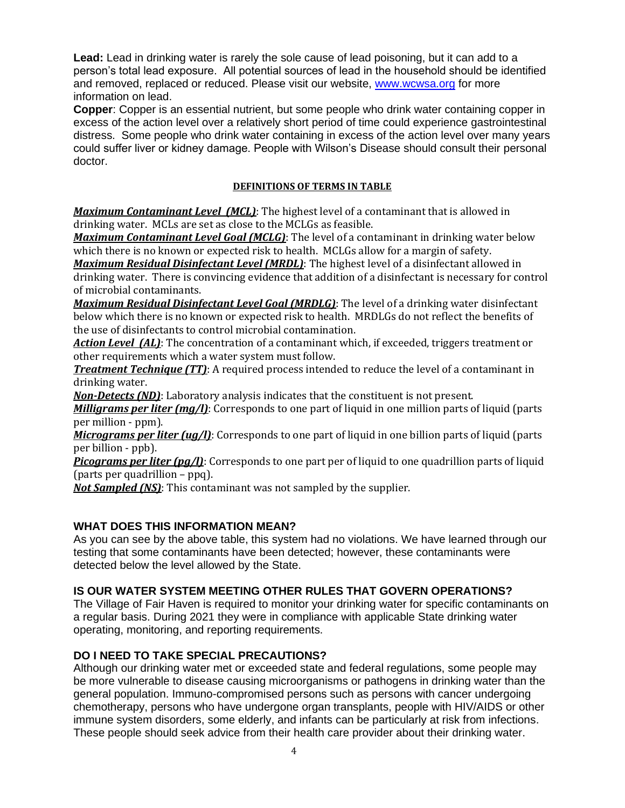**Lead:** Lead in drinking water is rarely the sole cause of lead poisoning, but it can add to a person's total lead exposure. All potential sources of lead in the household should be identified and removed, replaced or reduced. Please visit our website, [www.wcwsa.org](http://www.wcwsa.org/) for more information on lead.

**Copper**: Copper is an essential nutrient, but some people who drink water containing copper in excess of the action level over a relatively short period of time could experience gastrointestinal distress. Some people who drink water containing in excess of the action level over many years could suffer liver or kidney damage. People with Wilson's Disease should consult their personal doctor.

#### **DEFINITIONS OF TERMS IN TABLE**

*Maximum Contaminant Level (MCL)*: The highest level of a contaminant that is allowed in drinking water. MCLs are set as close to the MCLGs as feasible.

*Maximum Contaminant Level Goal (MCLG)*: The level of a contaminant in drinking water below which there is no known or expected risk to health. MCLGs allow for a margin of safety.

*Maximum Residual Disinfectant Level (MRDL)*: The highest level of a disinfectant allowed in drinking water. There is convincing evidence that addition of a disinfectant is necessary for control of microbial contaminants.

*Maximum Residual Disinfectant Level Goal (MRDLG)*: The level of a drinking water disinfectant below which there is no known or expected risk to health. MRDLGs do not reflect the benefits of the use of disinfectants to control microbial contamination.

*Action Level (AL)*: The concentration of a contaminant which, if exceeded, triggers treatment or other requirements which a water system must follow.

*Treatment Technique (TT):* A required process intended to reduce the level of a contaminant in drinking water.

*Non-Detects (ND)*: Laboratory analysis indicates that the constituent is not present.

*Milligrams per liter (mg/l)*: Corresponds to one part of liquid in one million parts of liquid (parts per million - ppm).

*Micrograms per liter (ug/l)*: Corresponds to one part of liquid in one billion parts of liquid (parts per billion - ppb).

*Picograms per liter (pg/l)*: Corresponds to one part per of liquid to one quadrillion parts of liquid (parts per quadrillion – ppq).

*Not Sampled (NS)*: This contaminant was not sampled by the supplier.

### **WHAT DOES THIS INFORMATION MEAN?**

As you can see by the above table, this system had no violations. We have learned through our testing that some contaminants have been detected; however, these contaminants were detected below the level allowed by the State.

### **IS OUR WATER SYSTEM MEETING OTHER RULES THAT GOVERN OPERATIONS?**

The Village of Fair Haven is required to monitor your drinking water for specific contaminants on a regular basis. During 2021 they were in compliance with applicable State drinking water operating, monitoring, and reporting requirements.

### **DO I NEED TO TAKE SPECIAL PRECAUTIONS?**

Although our drinking water met or exceeded state and federal regulations, some people may be more vulnerable to disease causing microorganisms or pathogens in drinking water than the general population. Immuno-compromised persons such as persons with cancer undergoing chemotherapy, persons who have undergone organ transplants, people with HIV/AIDS or other immune system disorders, some elderly, and infants can be particularly at risk from infections. These people should seek advice from their health care provider about their drinking water.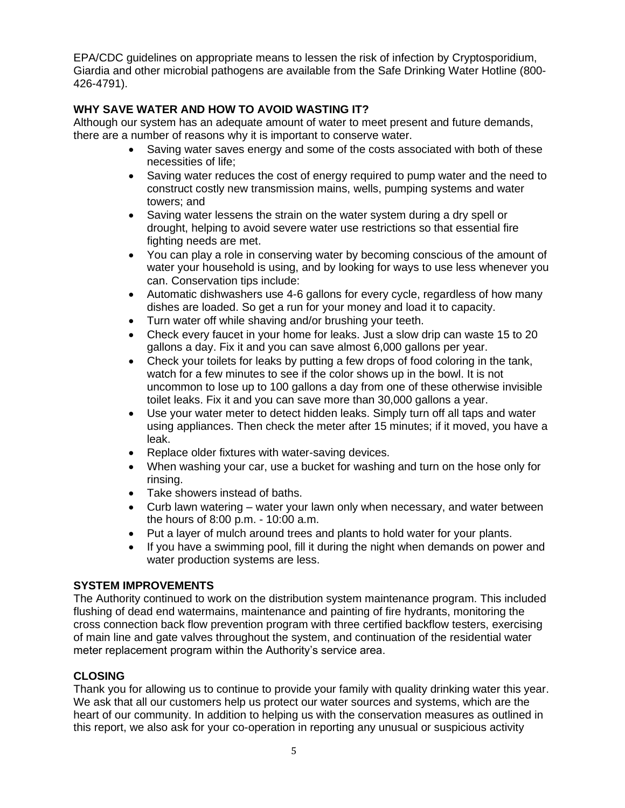EPA/CDC guidelines on appropriate means to lessen the risk of infection by Cryptosporidium, Giardia and other microbial pathogens are available from the Safe Drinking Water Hotline (800- 426-4791).

# **WHY SAVE WATER AND HOW TO AVOID WASTING IT?**

Although our system has an adequate amount of water to meet present and future demands, there are a number of reasons why it is important to conserve water.

- Saving water saves energy and some of the costs associated with both of these necessities of life;
- Saving water reduces the cost of energy required to pump water and the need to construct costly new transmission mains, wells, pumping systems and water towers; and
- Saving water lessens the strain on the water system during a dry spell or drought, helping to avoid severe water use restrictions so that essential fire fighting needs are met.
- You can play a role in conserving water by becoming conscious of the amount of water your household is using, and by looking for ways to use less whenever you can. Conservation tips include:
- Automatic dishwashers use 4-6 gallons for every cycle, regardless of how many dishes are loaded. So get a run for your money and load it to capacity.
- Turn water off while shaving and/or brushing your teeth.
- Check every faucet in your home for leaks. Just a slow drip can waste 15 to 20 gallons a day. Fix it and you can save almost 6,000 gallons per year.
- Check your toilets for leaks by putting a few drops of food coloring in the tank, watch for a few minutes to see if the color shows up in the bowl. It is not uncommon to lose up to 100 gallons a day from one of these otherwise invisible toilet leaks. Fix it and you can save more than 30,000 gallons a year.
- Use your water meter to detect hidden leaks. Simply turn off all taps and water using appliances. Then check the meter after 15 minutes; if it moved, you have a leak.
- Replace older fixtures with water-saving devices.
- When washing your car, use a bucket for washing and turn on the hose only for rinsing.
- Take showers instead of baths.
- Curb lawn watering water your lawn only when necessary, and water between the hours of 8:00 p.m. - 10:00 a.m.
- Put a layer of mulch around trees and plants to hold water for your plants.
- If you have a swimming pool, fill it during the night when demands on power and water production systems are less.

# **SYSTEM IMPROVEMENTS**

The Authority continued to work on the distribution system maintenance program. This included flushing of dead end watermains, maintenance and painting of fire hydrants, monitoring the cross connection back flow prevention program with three certified backflow testers, exercising of main line and gate valves throughout the system, and continuation of the residential water meter replacement program within the Authority's service area.

# **CLOSING**

Thank you for allowing us to continue to provide your family with quality drinking water this year. We ask that all our customers help us protect our water sources and systems, which are the heart of our community. In addition to helping us with the conservation measures as outlined in this report, we also ask for your co-operation in reporting any unusual or suspicious activity